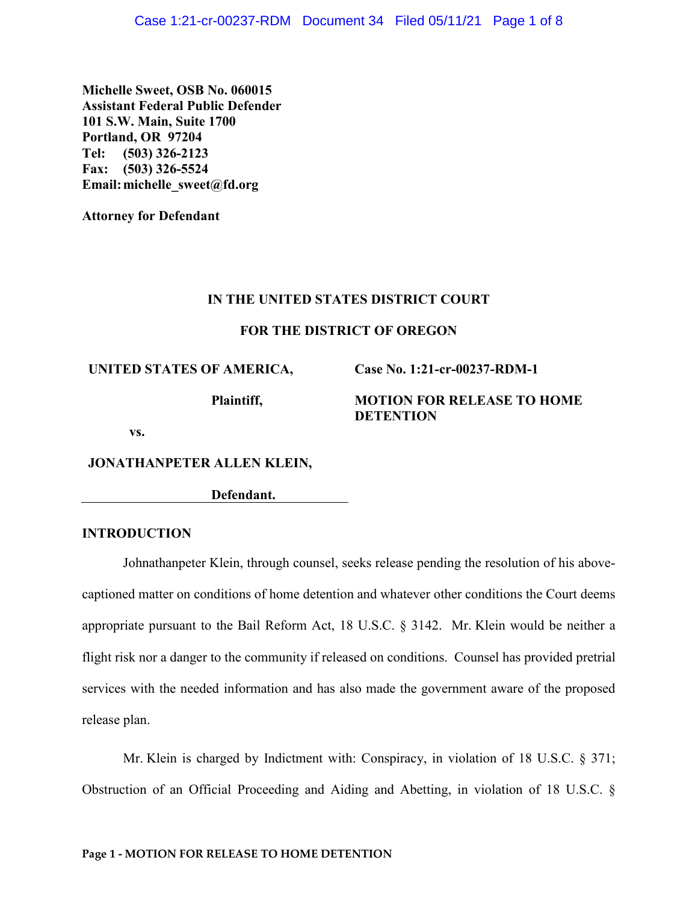**Michelle Sweet, OSB No. 060015 Assistant Federal Public Defender 101 S.W. Main, Suite 1700 Portland, OR 97204 Tel: (503) 326-2123 Fax: (503) 326-5524 Email:michelle\_sweet@fd.org**

**Attorney for Defendant**

### **IN THE UNITED STATES DISTRICT COURT**

### **FOR THE DISTRICT OF OREGON**

**UNITED STATES OF AMERICA,**

**Plaintiff,**

**Case No. 1:21-cr-00237-RDM-1** 

## **MOTION FOR RELEASE TO HOME DETENTION**

**vs.** 

**JONATHANPETER ALLEN KLEIN,** 

**Defendant.**

## **INTRODUCTION**

Johnathanpeter Klein, through counsel, seeks release pending the resolution of his abovecaptioned matter on conditions of home detention and whatever other conditions the Court deems appropriate pursuant to the Bail Reform Act, 18 U.S.C. § 3142. Mr. Klein would be neither a flight risk nor a danger to the community if released on conditions. Counsel has provided pretrial services with the needed information and has also made the government aware of the proposed release plan.

Mr. Klein is charged by Indictment with: Conspiracy, in violation of 18 U.S.C. § 371; Obstruction of an Official Proceeding and Aiding and Abetting, in violation of 18 U.S.C. §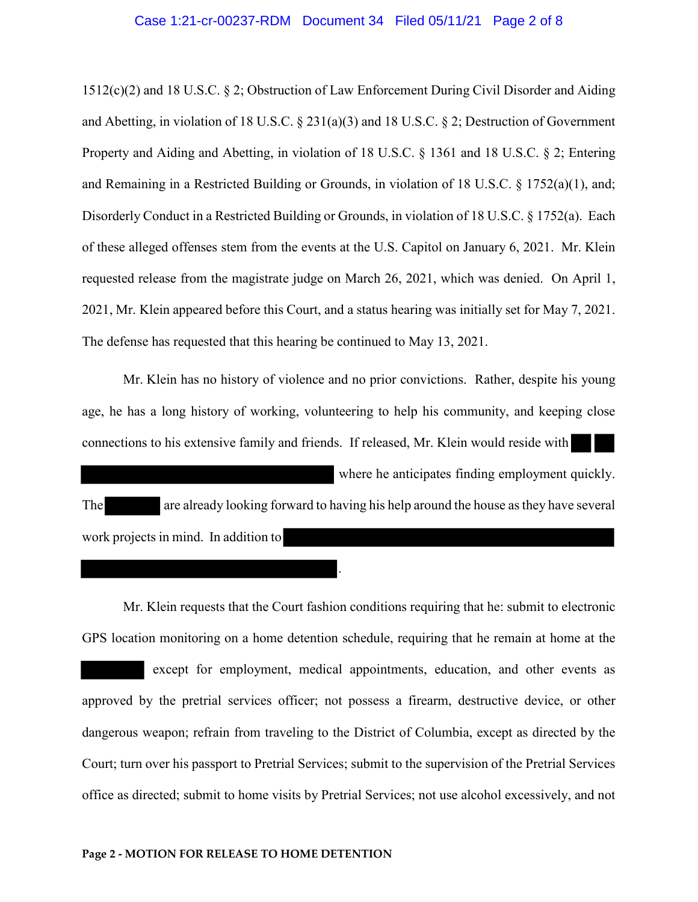### Case 1:21-cr-00237-RDM Document 34 Filed 05/11/21 Page 2 of 8

1512(c)(2) and 18 U.S.C. § 2; Obstruction of Law Enforcement During Civil Disorder and Aiding and Abetting, in violation of 18 U.S.C. § 231(a)(3) and 18 U.S.C. § 2; Destruction of Government Property and Aiding and Abetting, in violation of 18 U.S.C. § 1361 and 18 U.S.C. § 2; Entering and Remaining in a Restricted Building or Grounds, in violation of 18 U.S.C.  $\S$  1752(a)(1), and; Disorderly Conduct in a Restricted Building or Grounds, in violation of 18 U.S.C. § 1752(a). Each of these alleged offenses stem from the events at the U.S. Capitol on January 6, 2021. Mr. Klein requested release from the magistrate judge on March 26, 2021, which was denied. On April 1, 2021, Mr. Klein appeared before this Court, and a status hearing was initially set for May 7, 2021. The defense has requested that this hearing be continued to May 13, 2021.

Mr. Klein has no history of violence and no prior convictions. Rather, despite his young age, he has a long history of working, volunteering to help his community, and keeping close connections to his extensive family and friends. If released, Mr. Klein would reside with where he anticipates finding employment quickly. The are already looking forward to having his help around the house as they have several work projects in mind. In addition to

.

Mr. Klein requests that the Court fashion conditions requiring that he: submit to electronic GPS location monitoring on a home detention schedule, requiring that he remain at home at the except for employment, medical appointments, education, and other events as approved by the pretrial services officer; not possess a firearm, destructive device, or other dangerous weapon; refrain from traveling to the District of Columbia, except as directed by the Court; turn over his passport to Pretrial Services; submit to the supervision of the Pretrial Services office as directed; submit to home visits by Pretrial Services; not use alcohol excessively, and not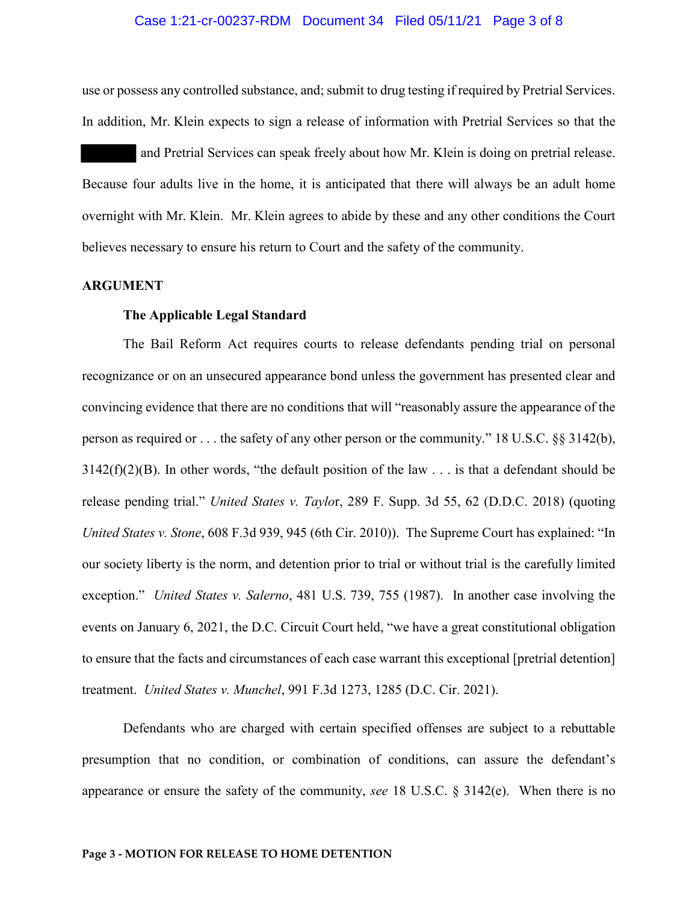### Case 1:21-cr-00237-RDM Document 34 Filed 05/11/21 Page 3 of 8

use or possess any controlled substance, and; submit to drug testing if required by Pretrial Services. In addition, Mr. Klein expects to sign a release of information with Pretrial Services so that the

 and Pretrial Services can speak freely about how Mr. Klein is doing on pretrial release. Because four adults live in the home, it is anticipated that there will always be an adult home overnight with Mr. Klein. Mr. Klein agrees to abide by these and any other conditions the Court believes necessary to ensure his return to Court and the safety of the community.

#### **ARGUMENT**

### **The Applicable Legal Standard**

The Bail Reform Act requires courts to release defendants pending trial on personal recognizance or on an unsecured appearance bond unless the government has presented clear and convincing evidence that there are no conditions that will "reasonably assure the appearance of the person as required or . . . the safety of any other person or the community." 18 U.S.C. §§ 3142(b),  $3142(f)(2)(B)$ . In other words, "the default position of the law . . . is that a defendant should be release pending trial." *United States v. Taylo*r, 289 F. Supp. 3d 55, 62 (D.D.C. 2018) (quoting *United States v. Stone*, 608 F.3d 939, 945 (6th Cir. 2010)). The Supreme Court has explained: "In our society liberty is the norm, and detention prior to trial or without trial is the carefully limited exception." *United States v. Salerno*, 481 U.S. 739, 755 (1987). In another case involving the events on January 6, 2021, the D.C. Circuit Court held, "we have a great constitutional obligation to ensure that the facts and circumstances of each case warrant this exceptional [pretrial detention] treatment. *United States v. Munchel*, 991 F.3d 1273, 1285 (D.C. Cir. 2021).

Defendants who are charged with certain specified offenses are subject to a rebuttable presumption that no condition, or combination of conditions, can assure the defendant's appearance or ensure the safety of the community, *see* 18 U.S.C. § 3142(e). When there is no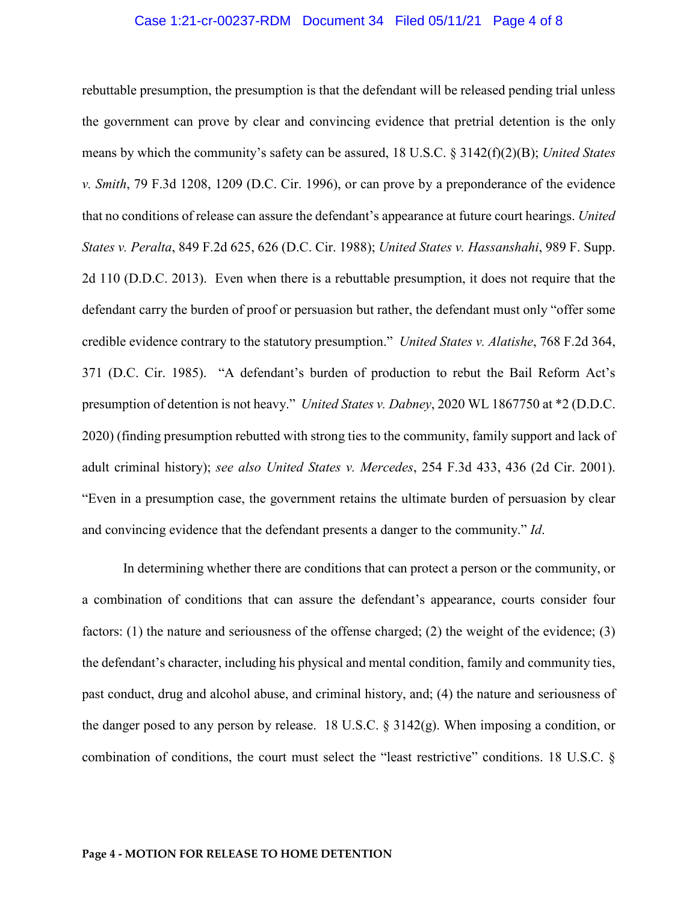### Case 1:21-cr-00237-RDM Document 34 Filed 05/11/21 Page 4 of 8

rebuttable presumption, the presumption is that the defendant will be released pending trial unless the government can prove by clear and convincing evidence that pretrial detention is the only means by which the community's safety can be assured, 18 U.S.C. § 3142(f)(2)(B); *United States v. Smith*, 79 F.3d 1208, 1209 (D.C. Cir. 1996), or can prove by a preponderance of the evidence that no conditions of release can assure the defendant's appearance at future court hearings. *United States v. Peralta*, 849 F.2d 625, 626 (D.C. Cir. 1988); *United States v. Hassanshahi*, 989 F. Supp. 2d 110 (D.D.C. 2013). Even when there is a rebuttable presumption, it does not require that the defendant carry the burden of proof or persuasion but rather, the defendant must only "offer some credible evidence contrary to the statutory presumption." *United States v. Alatishe*, 768 F.2d 364, 371 (D.C. Cir. 1985). "A defendant's burden of production to rebut the Bail Reform Act's presumption of detention is not heavy." *United States v. Dabney*, 2020 WL 1867750 at \*2 (D.D.C. 2020) (finding presumption rebutted with strong ties to the community, family support and lack of adult criminal history); *see also United States v. Mercedes*, 254 F.3d 433, 436 (2d Cir. 2001). "Even in a presumption case, the government retains the ultimate burden of persuasion by clear and convincing evidence that the defendant presents a danger to the community." *Id*.

In determining whether there are conditions that can protect a person or the community, or a combination of conditions that can assure the defendant's appearance, courts consider four factors: (1) the nature and seriousness of the offense charged; (2) the weight of the evidence; (3) the defendant's character, including his physical and mental condition, family and community ties, past conduct, drug and alcohol abuse, and criminal history, and; (4) the nature and seriousness of the danger posed to any person by release. 18 U.S.C. § 3142(g). When imposing a condition, or combination of conditions, the court must select the "least restrictive" conditions. 18 U.S.C. §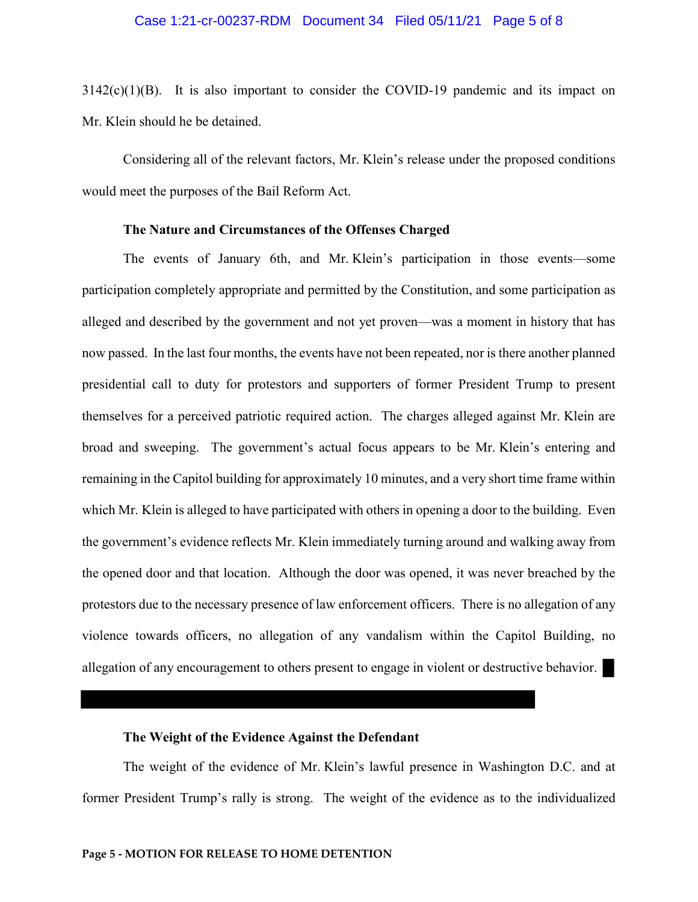### Case 1:21-cr-00237-RDM Document 34 Filed 05/11/21 Page 5 of 8

 $3142(c)(1)(B)$ . It is also important to consider the COVID-19 pandemic and its impact on Mr. Klein should he be detained.

Considering all of the relevant factors, Mr. Klein's release under the proposed conditions would meet the purposes of the Bail Reform Act.

## **The Nature and Circumstances of the Offenses Charged**

The events of January 6th, and Mr. Klein's participation in those events—some participation completely appropriate and permitted by the Constitution, and some participation as alleged and described by the government and not yet proven—was a moment in history that has now passed. In the last four months, the events have not been repeated, nor is there another planned presidential call to duty for protestors and supporters of former President Trump to present themselves for a perceived patriotic required action. The charges alleged against Mr. Klein are broad and sweeping. The government's actual focus appears to be Mr. Klein's entering and remaining in the Capitol building for approximately 10 minutes, and a very short time frame within which Mr. Klein is alleged to have participated with others in opening a door to the building. Even the government's evidence reflects Mr. Klein immediately turning around and walking away from the opened door and that location. Although the door was opened, it was never breached by the protestors due to the necessary presence of law enforcement officers. There is no allegation of any violence towards officers, no allegation of any vandalism within the Capitol Building, no allegation of any encouragement to others present to engage in violent or destructive behavior.

### **The Weight of the Evidence Against the Defendant**

The weight of the evidence of Mr. Klein's lawful presence in Washington D.C. and at former President Trump's rally is strong. The weight of the evidence as to the individualized

#### **Page 5 - MOTION FOR RELEASE TO HOME DETENTION**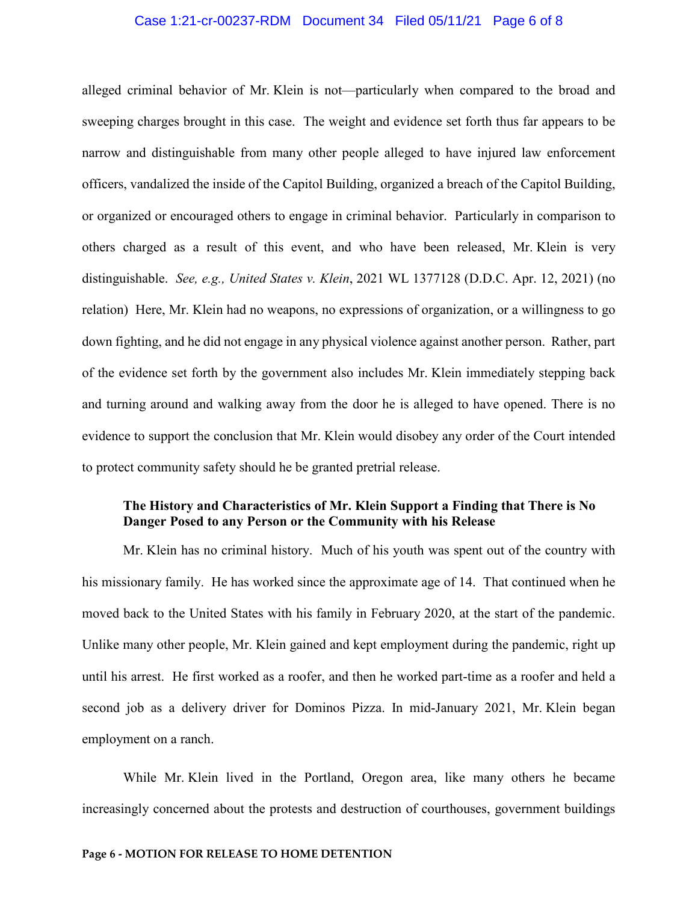### Case 1:21-cr-00237-RDM Document 34 Filed 05/11/21 Page 6 of 8

alleged criminal behavior of Mr. Klein is not—particularly when compared to the broad and sweeping charges brought in this case. The weight and evidence set forth thus far appears to be narrow and distinguishable from many other people alleged to have injured law enforcement officers, vandalized the inside of the Capitol Building, organized a breach of the Capitol Building, or organized or encouraged others to engage in criminal behavior. Particularly in comparison to others charged as a result of this event, and who have been released, Mr. Klein is very distinguishable. *See, e.g., United States v. Klein*, 2021 WL 1377128 (D.D.C. Apr. 12, 2021) (no relation) Here, Mr. Klein had no weapons, no expressions of organization, or a willingness to go down fighting, and he did not engage in any physical violence against another person. Rather, part of the evidence set forth by the government also includes Mr. Klein immediately stepping back and turning around and walking away from the door he is alleged to have opened. There is no evidence to support the conclusion that Mr. Klein would disobey any order of the Court intended to protect community safety should he be granted pretrial release.

# **The History and Characteristics of Mr. Klein Support a Finding that There is No Danger Posed to any Person or the Community with his Release**

Mr. Klein has no criminal history. Much of his youth was spent out of the country with his missionary family. He has worked since the approximate age of 14. That continued when he moved back to the United States with his family in February 2020, at the start of the pandemic. Unlike many other people, Mr. Klein gained and kept employment during the pandemic, right up until his arrest. He first worked as a roofer, and then he worked part-time as a roofer and held a second job as a delivery driver for Dominos Pizza. In mid-January 2021, Mr. Klein began employment on a ranch.

While Mr. Klein lived in the Portland, Oregon area, like many others he became increasingly concerned about the protests and destruction of courthouses, government buildings

#### **Page 6 - MOTION FOR RELEASE TO HOME DETENTION**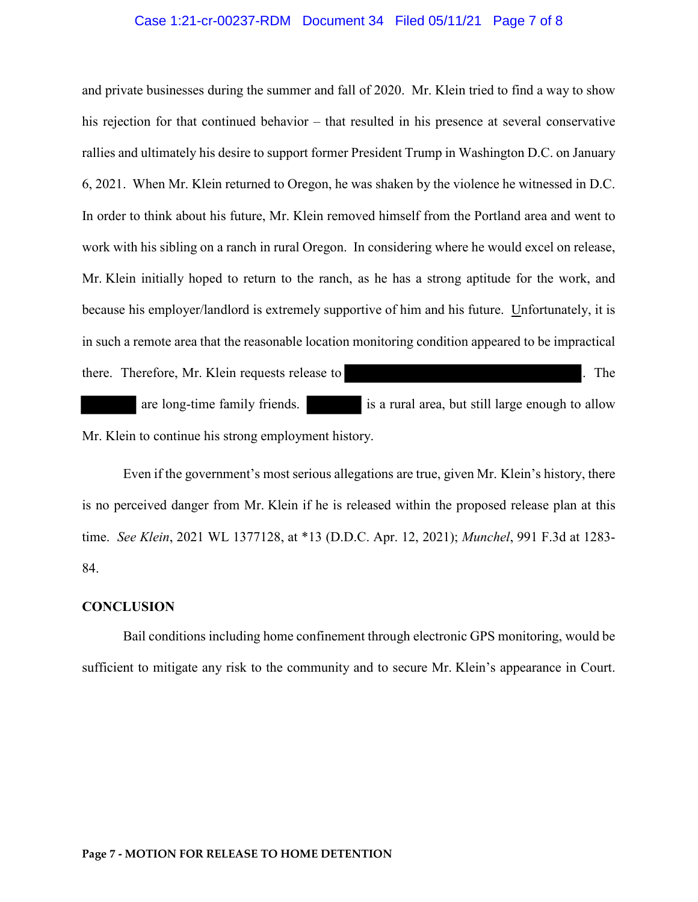### Case 1:21-cr-00237-RDM Document 34 Filed 05/11/21 Page 7 of 8

and private businesses during the summer and fall of 2020. Mr. Klein tried to find a way to show his rejection for that continued behavior – that resulted in his presence at several conservative rallies and ultimately his desire to support former President Trump in Washington D.C. on January 6, 2021. When Mr. Klein returned to Oregon, he was shaken by the violence he witnessed in D.C. In order to think about his future, Mr. Klein removed himself from the Portland area and went to work with his sibling on a ranch in rural Oregon. In considering where he would excel on release, Mr. Klein initially hoped to return to the ranch, as he has a strong aptitude for the work, and because his employer/landlord is extremely supportive of him and his future. Unfortunately, it is in such a remote area that the reasonable location monitoring condition appeared to be impractical there. Therefore, Mr. Klein requests release to . The are long-time family friends. is a rural area, but still large enough to allow Mr. Klein to continue his strong employment history.

Even if the government's most serious allegations are true, given Mr. Klein's history, there is no perceived danger from Mr. Klein if he is released within the proposed release plan at this time. *See Klein*, 2021 WL 1377128, at \*13 (D.D.C. Apr. 12, 2021); *Munchel*, 991 F.3d at 1283- 84.

### **CONCLUSION**

Bail conditions including home confinement through electronic GPS monitoring, would be sufficient to mitigate any risk to the community and to secure Mr. Klein's appearance in Court.